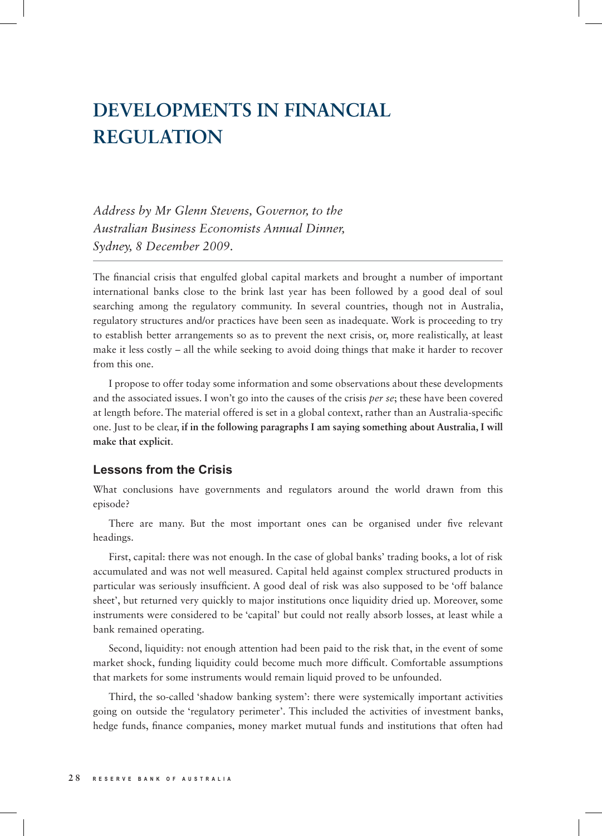# **DEVELOPMENTS IN FINANCIAL REGULATION**

*Address by Mr Glenn Stevens, Governor, to the Australian Business Economists Annual Dinner, Sydney, 8 December 2009.*

The financial crisis that engulfed global capital markets and brought a number of important international banks close to the brink last year has been followed by a good deal of soul searching among the regulatory community. In several countries, though not in Australia, regulatory structures and/or practices have been seen as inadequate. Work is proceeding to try to establish better arrangements so as to prevent the next crisis, or, more realistically, at least make it less costly – all the while seeking to avoid doing things that make it harder to recover from this one.

I propose to offer today some information and some observations about these developments and the associated issues. I won't go into the causes of the crisis *per se*; these have been covered at length before. The material offered is set in a global context, rather than an Australia-specific one. Just to be clear, **if in the following paragraphs I am saying something about Australia, I will make that explicit**.

### **Lessons from the Crisis**

What conclusions have governments and regulators around the world drawn from this episode?

There are many. But the most important ones can be organised under five relevant headings.

First, capital: there was not enough. In the case of global banks' trading books, a lot of risk accumulated and was not well measured. Capital held against complex structured products in particular was seriously insufficient. A good deal of risk was also supposed to be 'off balance sheet', but returned very quickly to major institutions once liquidity dried up. Moreover, some instruments were considered to be 'capital' but could not really absorb losses, at least while a bank remained operating.

Second, liquidity: not enough attention had been paid to the risk that, in the event of some market shock, funding liquidity could become much more difficult. Comfortable assumptions that markets for some instruments would remain liquid proved to be unfounded.

Third, the so-called 'shadow banking system': there were systemically important activities going on outside the 'regulatory perimeter'. This included the activities of investment banks, hedge funds, finance companies, money market mutual funds and institutions that often had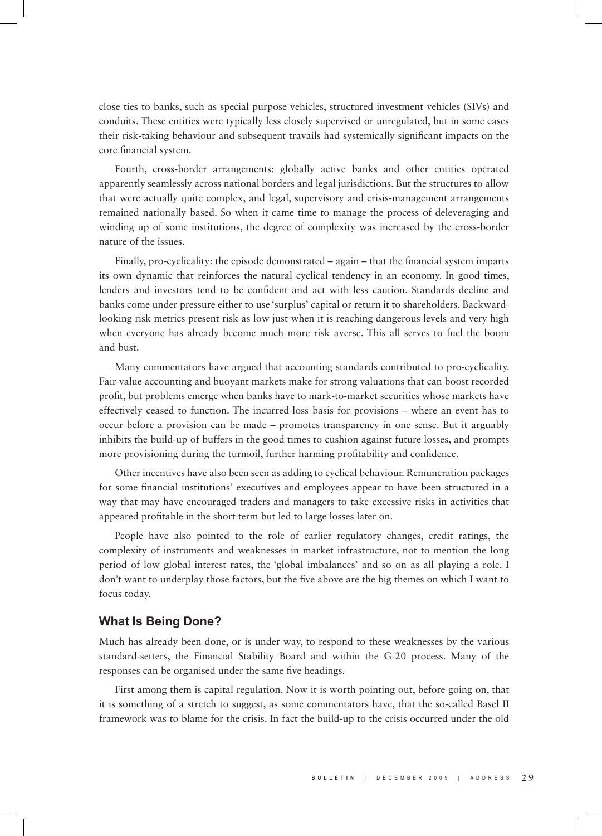close ties to banks, such as special purpose vehicles, structured investment vehicles (SIVs) and conduits. These entities were typically less closely supervised or unregulated, but in some cases their risk-taking behaviour and subsequent travails had systemically significant impacts on the core financial system.

Fourth, cross-border arrangements: globally active banks and other entities operated apparently seamlessly across national borders and legal jurisdictions. But the structures to allow that were actually quite complex, and legal, supervisory and crisis-management arrangements remained nationally based. So when it came time to manage the process of deleveraging and winding up of some institutions, the degree of complexity was increased by the cross-border nature of the issues.

Finally, pro-cyclicality: the episode demonstrated – again – that the financial system imparts its own dynamic that reinforces the natural cyclical tendency in an economy. In good times, lenders and investors tend to be confident and act with less caution. Standards decline and banks come under pressure either to use 'surplus' capital or return it to shareholders. Backwardlooking risk metrics present risk as low just when it is reaching dangerous levels and very high when everyone has already become much more risk averse. This all serves to fuel the boom and bust.

Many commentators have argued that accounting standards contributed to pro-cyclicality. Fair-value accounting and buoyant markets make for strong valuations that can boost recorded profit, but problems emerge when banks have to mark-to-market securities whose markets have effectively ceased to function. The incurred-loss basis for provisions – where an event has to occur before a provision can be made – promotes transparency in one sense. But it arguably inhibits the build-up of buffers in the good times to cushion against future losses, and prompts more provisioning during the turmoil, further harming profitability and confidence.

Other incentives have also been seen as adding to cyclical behaviour. Remuneration packages for some financial institutions' executives and employees appear to have been structured in a way that may have encouraged traders and managers to take excessive risks in activities that appeared profitable in the short term but led to large losses later on.

People have also pointed to the role of earlier regulatory changes, credit ratings, the complexity of instruments and weaknesses in market infrastructure, not to mention the long period of low global interest rates, the 'global imbalances' and so on as all playing a role. I don't want to underplay those factors, but the five above are the big themes on which I want to focus today.

#### **What Is Being Done?**

Much has already been done, or is under way, to respond to these weaknesses by the various standard-setters, the Financial Stability Board and within the G-20 process. Many of the responses can be organised under the same five headings.

First among them is capital regulation. Now it is worth pointing out, before going on, that it is something of a stretch to suggest, as some commentators have, that the so-called Basel II framework was to blame for the crisis. In fact the build-up to the crisis occurred under the old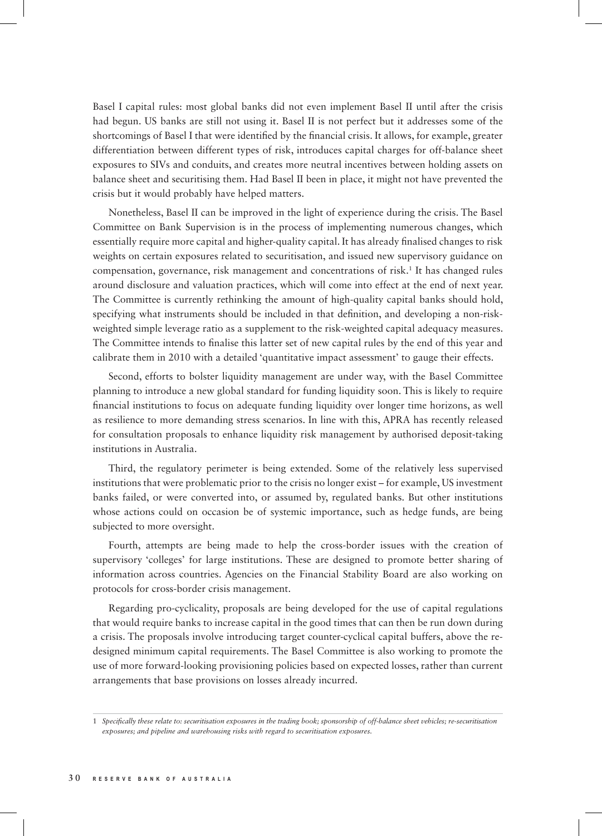Basel I capital rules: most global banks did not even implement Basel II until after the crisis had begun. US banks are still not using it. Basel II is not perfect but it addresses some of the shortcomings of Basel I that were identified by the financial crisis. It allows, for example, greater differentiation between different types of risk, introduces capital charges for off-balance sheet exposures to SIVs and conduits, and creates more neutral incentives between holding assets on balance sheet and securitising them. Had Basel II been in place, it might not have prevented the crisis but it would probably have helped matters.

Nonetheless, Basel II can be improved in the light of experience during the crisis. The Basel Committee on Bank Supervision is in the process of implementing numerous changes, which essentially require more capital and higher-quality capital. It has already finalised changes to risk weights on certain exposures related to securitisation, and issued new supervisory guidance on compensation, governance, risk management and concentrations of risk.1 It has changed rules around disclosure and valuation practices, which will come into effect at the end of next year. The Committee is currently rethinking the amount of high-quality capital banks should hold, specifying what instruments should be included in that definition, and developing a non-riskweighted simple leverage ratio as a supplement to the risk-weighted capital adequacy measures. The Committee intends to finalise this latter set of new capital rules by the end of this year and calibrate them in 2010 with a detailed 'quantitative impact assessment' to gauge their effects.

Second, efforts to bolster liquidity management are under way, with the Basel Committee planning to introduce a new global standard for funding liquidity soon. This is likely to require financial institutions to focus on adequate funding liquidity over longer time horizons, as well as resilience to more demanding stress scenarios. In line with this, APRA has recently released for consultation proposals to enhance liquidity risk management by authorised deposit-taking institutions in Australia.

Third, the regulatory perimeter is being extended. Some of the relatively less supervised institutions that were problematic prior to the crisis no longer exist – for example, US investment banks failed, or were converted into, or assumed by, regulated banks. But other institutions whose actions could on occasion be of systemic importance, such as hedge funds, are being subjected to more oversight.

Fourth, attempts are being made to help the cross-border issues with the creation of supervisory 'colleges' for large institutions. These are designed to promote better sharing of information across countries. Agencies on the Financial Stability Board are also working on protocols for cross-border crisis management.

Regarding pro-cyclicality, proposals are being developed for the use of capital regulations that would require banks to increase capital in the good times that can then be run down during a crisis. The proposals involve introducing target counter-cyclical capital buffers, above the redesigned minimum capital requirements. The Basel Committee is also working to promote the use of more forward-looking provisioning policies based on expected losses, rather than current arrangements that base provisions on losses already incurred.

<sup>1</sup> *Specifically these relate to: securitisation exposures in the trading book; sponsorship of off-balance sheet vehicles; re-securitisation exposures; and pipeline and warehousing risks with regard to securitisation exposures.*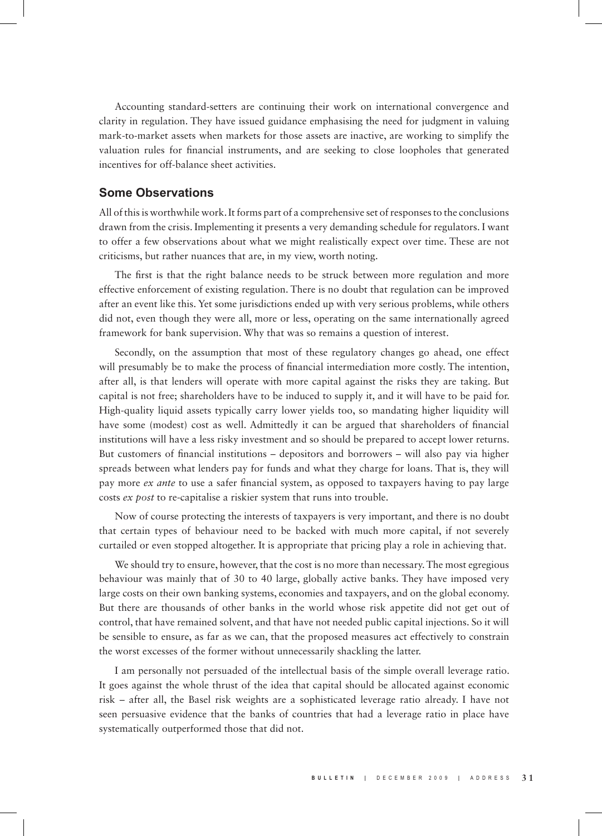Accounting standard-setters are continuing their work on international convergence and clarity in regulation. They have issued guidance emphasising the need for judgment in valuing mark-to-market assets when markets for those assets are inactive, are working to simplify the valuation rules for financial instruments, and are seeking to close loopholes that generated incentives for off-balance sheet activities.

#### **Some Observations**

All of this is worthwhile work. It forms part of a comprehensive set of responses to the conclusions drawn from the crisis. Implementing it presents a very demanding schedule for regulators. I want to offer a few observations about what we might realistically expect over time. These are not criticisms, but rather nuances that are, in my view, worth noting.

The first is that the right balance needs to be struck between more regulation and more effective enforcement of existing regulation. There is no doubt that regulation can be improved after an event like this. Yet some jurisdictions ended up with very serious problems, while others did not, even though they were all, more or less, operating on the same internationally agreed framework for bank supervision. Why that was so remains a question of interest.

Secondly, on the assumption that most of these regulatory changes go ahead, one effect will presumably be to make the process of financial intermediation more costly. The intention, after all, is that lenders will operate with more capital against the risks they are taking. But capital is not free; shareholders have to be induced to supply it, and it will have to be paid for. High-quality liquid assets typically carry lower yields too, so mandating higher liquidity will have some (modest) cost as well. Admittedly it can be argued that shareholders of financial institutions will have a less risky investment and so should be prepared to accept lower returns. But customers of financial institutions – depositors and borrowers – will also pay via higher spreads between what lenders pay for funds and what they charge for loans. That is, they will pay more *ex ante* to use a safer financial system, as opposed to taxpayers having to pay large costs *ex post* to re-capitalise a riskier system that runs into trouble.

Now of course protecting the interests of taxpayers is very important, and there is no doubt that certain types of behaviour need to be backed with much more capital, if not severely curtailed or even stopped altogether. It is appropriate that pricing play a role in achieving that.

We should try to ensure, however, that the cost is no more than necessary. The most egregious behaviour was mainly that of 30 to 40 large, globally active banks. They have imposed very large costs on their own banking systems, economies and taxpayers, and on the global economy. But there are thousands of other banks in the world whose risk appetite did not get out of control, that have remained solvent, and that have not needed public capital injections. So it will be sensible to ensure, as far as we can, that the proposed measures act effectively to constrain the worst excesses of the former without unnecessarily shackling the latter.

I am personally not persuaded of the intellectual basis of the simple overall leverage ratio. It goes against the whole thrust of the idea that capital should be allocated against economic risk – after all, the Basel risk weights are a sophisticated leverage ratio already. I have not seen persuasive evidence that the banks of countries that had a leverage ratio in place have systematically outperformed those that did not.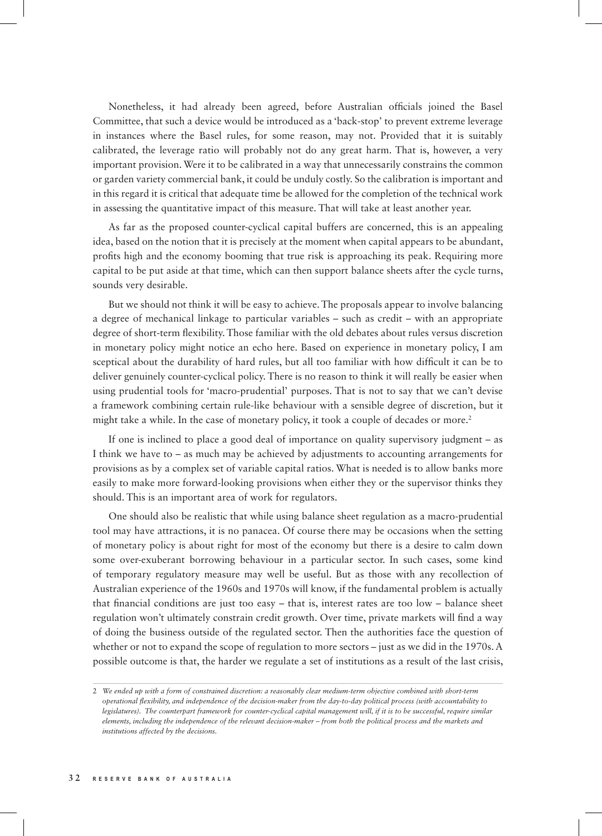Nonetheless, it had already been agreed, before Australian officials joined the Basel Committee, that such a device would be introduced as a 'back-stop' to prevent extreme leverage in instances where the Basel rules, for some reason, may not. Provided that it is suitably calibrated, the leverage ratio will probably not do any great harm. That is, however, a very important provision. Were it to be calibrated in a way that unnecessarily constrains the common or garden variety commercial bank, it could be unduly costly. So the calibration is important and in this regard it is critical that adequate time be allowed for the completion of the technical work in assessing the quantitative impact of this measure. That will take at least another year.

As far as the proposed counter-cyclical capital buffers are concerned, this is an appealing idea, based on the notion that it is precisely at the moment when capital appears to be abundant, profits high and the economy booming that true risk is approaching its peak. Requiring more capital to be put aside at that time, which can then support balance sheets after the cycle turns, sounds very desirable.

But we should not think it will be easy to achieve. The proposals appear to involve balancing a degree of mechanical linkage to particular variables – such as credit – with an appropriate degree of short-term flexibility. Those familiar with the old debates about rules versus discretion in monetary policy might notice an echo here. Based on experience in monetary policy, I am sceptical about the durability of hard rules, but all too familiar with how difficult it can be to deliver genuinely counter-cyclical policy. There is no reason to think it will really be easier when using prudential tools for 'macro-prudential' purposes. That is not to say that we can't devise a framework combining certain rule-like behaviour with a sensible degree of discretion, but it might take a while. In the case of monetary policy, it took a couple of decades or more.<sup>2</sup>

If one is inclined to place a good deal of importance on quality supervisory judgment – as I think we have to – as much may be achieved by adjustments to accounting arrangements for provisions as by a complex set of variable capital ratios. What is needed is to allow banks more easily to make more forward-looking provisions when either they or the supervisor thinks they should. This is an important area of work for regulators.

One should also be realistic that while using balance sheet regulation as a macro-prudential tool may have attractions, it is no panacea. Of course there may be occasions when the setting of monetary policy is about right for most of the economy but there is a desire to calm down some over-exuberant borrowing behaviour in a particular sector. In such cases, some kind of temporary regulatory measure may well be useful. But as those with any recollection of Australian experience of the 1960s and 1970s will know, if the fundamental problem is actually that financial conditions are just too easy – that is, interest rates are too low – balance sheet regulation won't ultimately constrain credit growth. Over time, private markets will find a way of doing the business outside of the regulated sector. Then the authorities face the question of whether or not to expand the scope of regulation to more sectors – just as we did in the 1970s. A possible outcome is that, the harder we regulate a set of institutions as a result of the last crisis,

<sup>2</sup> *We ended up with a form of constrained discretion: a reasonably clear medium-term objective combined with short-term operational flexibility, and independence of the decision-maker from the day-to-day political process (with accountability to legislatures*). The counterpart framework for counter-cyclical capital management will, if it is to be successful, require similar *elements, including the independence of the relevant decision-maker – from both the political process and the markets and institutions affected by the decisions.*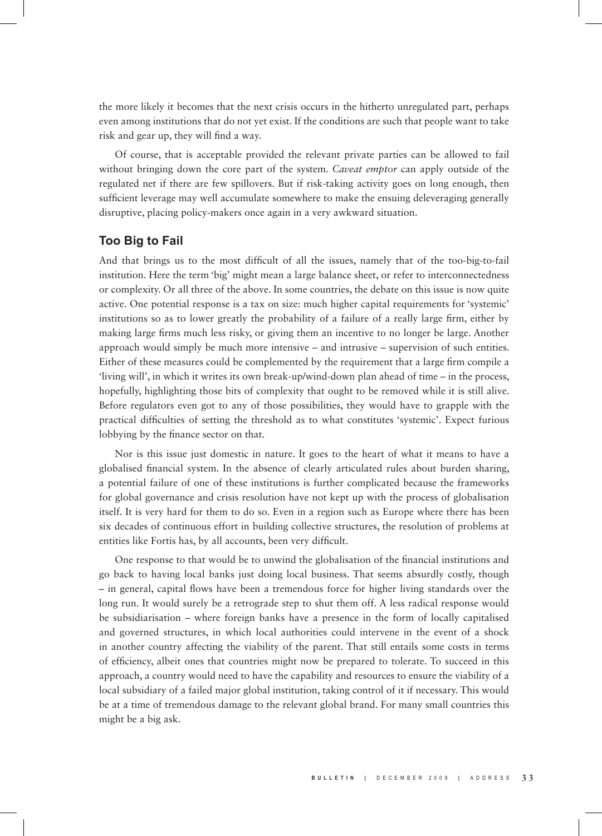the more likely it becomes that the next crisis occurs in the hitherto unregulated part, perhaps even among institutions that do not yet exist. If the conditions are such that people want to take risk and gear up, they will find a way.

Of course, that is acceptable provided the relevant private parties can be allowed to fail without bringing down the core part of the system. *Caveat emptor* can apply outside of the regulated net if there are few spillovers. But if risk-taking activity goes on long enough, then sufficient leverage may well accumulate somewhere to make the ensuing deleveraging generally disruptive, placing policy-makers once again in a very awkward situation.

## **Too Big to Fail**

And that brings us to the most difficult of all the issues, namely that of the too-big-to-fail institution. Here the term 'big' might mean a large balance sheet, or refer to interconnectedness or complexity. Or all three of the above. In some countries, the debate on this issue is now quite active. One potential response is a tax on size: much higher capital requirements for 'systemic' institutions so as to lower greatly the probability of a failure of a really large firm, either by making large firms much less risky, or giving them an incentive to no longer be large. Another approach would simply be much more intensive – and intrusive – supervision of such entities. Either of these measures could be complemented by the requirement that a large firm compile a 'living will', in which it writes its own break-up/wind-down plan ahead of time – in the process, hopefully, highlighting those bits of complexity that ought to be removed while it is still alive. Before regulators even got to any of those possibilities, they would have to grapple with the practical difficulties of setting the threshold as to what constitutes 'systemic'. Expect furious lobbying by the finance sector on that.

Nor is this issue just domestic in nature. It goes to the heart of what it means to have a globalised financial system. In the absence of clearly articulated rules about burden sharing, a potential failure of one of these institutions is further complicated because the frameworks for global governance and crisis resolution have not kept up with the process of globalisation itself. It is very hard for them to do so. Even in a region such as Europe where there has been six decades of continuous effort in building collective structures, the resolution of problems at entities like Fortis has, by all accounts, been very difficult.

One response to that would be to unwind the globalisation of the financial institutions and go back to having local banks just doing local business. That seems absurdly costly, though – in general, capital flows have been a tremendous force for higher living standards over the long run. It would surely be a retrograde step to shut them off. A less radical response would be subsidiarisation – where foreign banks have a presence in the form of locally capitalised and governed structures, in which local authorities could intervene in the event of a shock in another country affecting the viability of the parent. That still entails some costs in terms of efficiency, albeit ones that countries might now be prepared to tolerate. To succeed in this approach, a country would need to have the capability and resources to ensure the viability of a local subsidiary of a failed major global institution, taking control of it if necessary. This would be at a time of tremendous damage to the relevant global brand. For many small countries this might be a big ask.